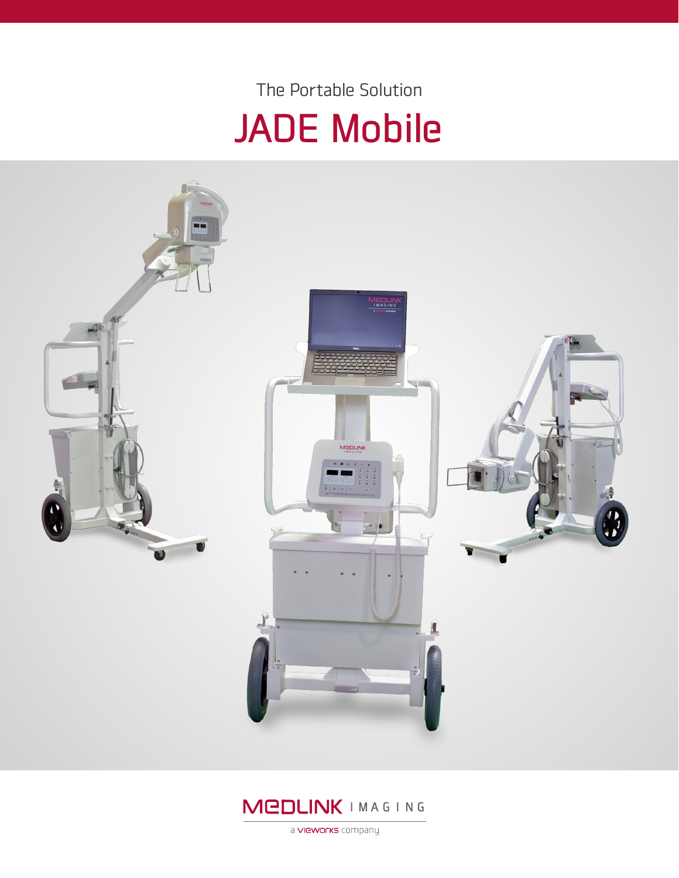## JADE Mobile The Portable Solution





a **VIEWOrks** company